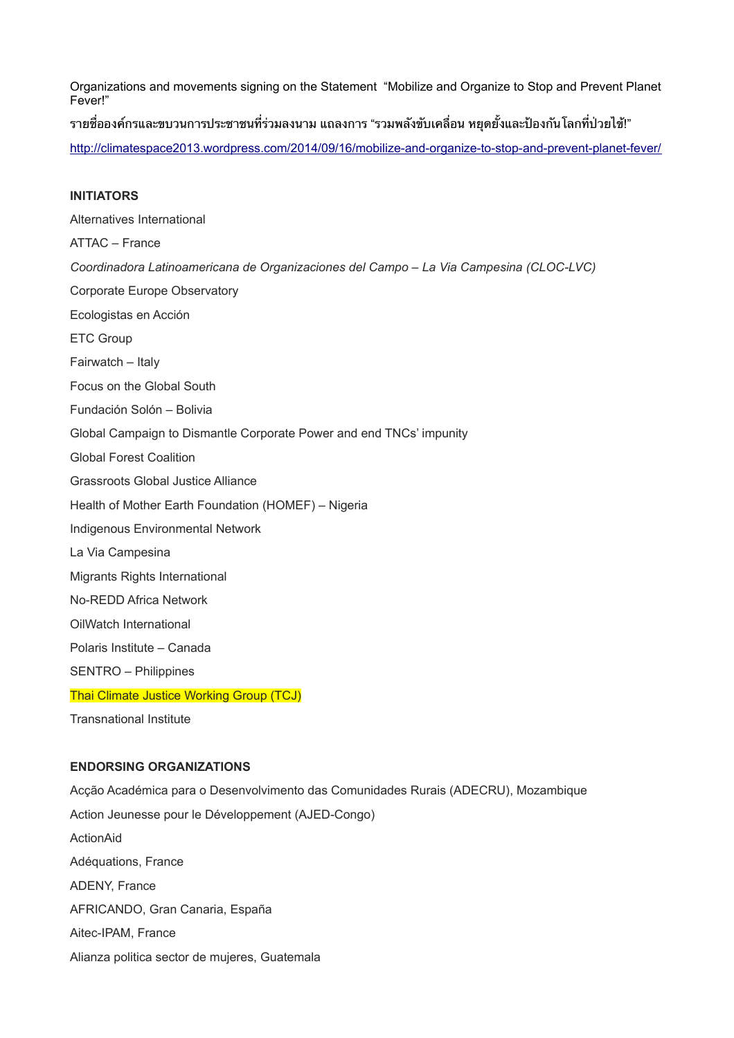Organizations and movements signing on the Statement "Mobilize and Organize to Stop and Prevent Planet Fever!"

รายชื่อองค์กรและขบวนการประชาชนที่ร่วมลงนาม แถลงการ "รวมพลังขับเคลื่อน หยุดยั้งและป้องกันโลกที่ป่วยไข้!"

<http://climatespace2013.wordpress.com/2014/09/16/mobilize-and-organize-to-stop-and-prevent-planet-fever/>

## **INITIATORS**

Alternatives International ATTAC – France *Coordinadora Latinoamericana de Organizaciones del Campo – La Via Campesina (CLOC-LVC)* Corporate Europe Observatory Ecologistas en Acción ETC Group Fairwatch – Italy Focus on the Global South Fundación Solón – Bolivia Global Campaign to Dismantle Corporate Power and end TNCs' impunity Global Forest Coalition Grassroots Global Justice Alliance Health of Mother Earth Foundation (HOMEF) – Nigeria Indigenous Environmental Network La Via Campesina Migrants Rights International No-REDD Africa Network OilWatch International Polaris Institute – Canada SENTRO – Philippines Thai Climate Justice Working Group (TCJ) Transnational Institute

## **ENDORSING ORGANIZATIONS**

Acção Académica para o Desenvolvimento das Comunidades Rurais (ADECRU), Mozambique Action Jeunesse pour le Développement (AJED-Congo) ActionAid Adéquations, France ADENY, France AFRICANDO, Gran Canaria, España Aitec-IPAM, France Alianza politica sector de mujeres, Guatemala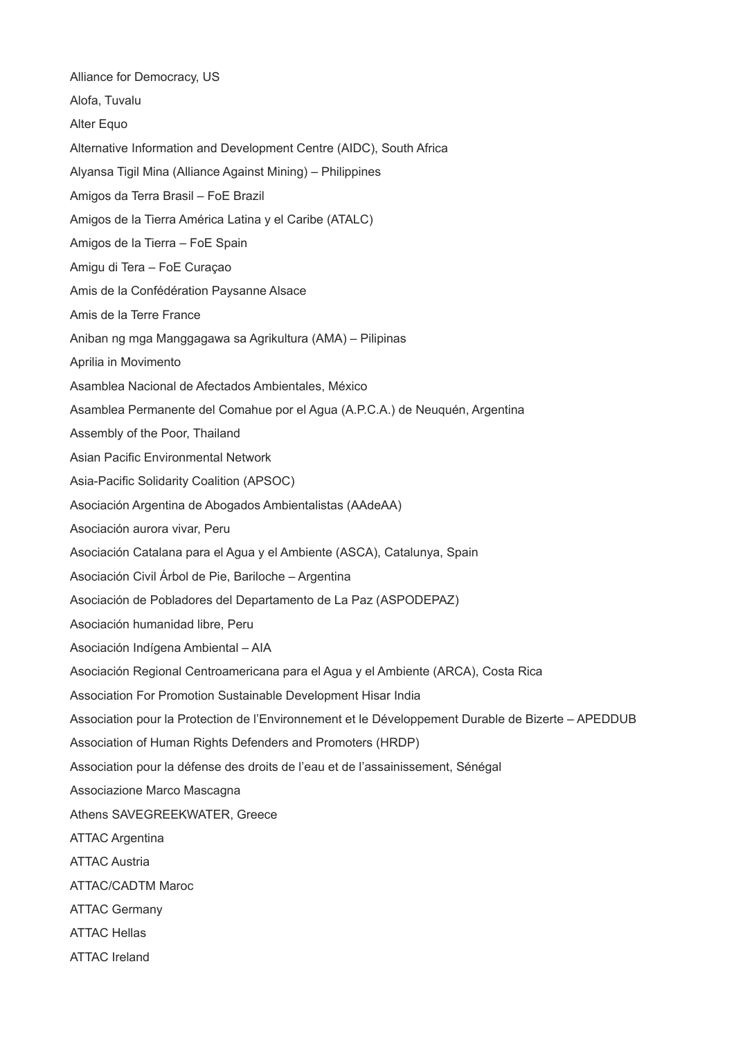Alliance for Democracy, US Alofa, Tuvalu Alter Equo Alternative Information and Development Centre (AIDC), South Africa Alyansa Tigil Mina (Alliance Against Mining) – Philippines Amigos da Terra Brasil – FoE Brazil Amigos de la Tierra América Latina y el Caribe (ATALC) Amigos de la Tierra – FoE Spain Amigu di Tera – FoE Curaçao Amis de la Confédération Paysanne Alsace Amis de la Terre France Aniban ng mga Manggagawa sa Agrikultura (AMA) – Pilipinas Aprilia in Movimento Asamblea Nacional de Afectados Ambientales, México Asamblea Permanente del Comahue por el Agua (A.P.C.A.) de Neuquén, Argentina Assembly of the Poor, Thailand Asian Pacific Environmental Network Asia-Pacific Solidarity Coalition (APSOC) Asociación Argentina de Abogados Ambientalistas (AAdeAA) Asociación aurora vivar, Peru Asociación Catalana para el Agua y el Ambiente (ASCA), Catalunya, Spain Asociación Civil Árbol de Pie, Bariloche – Argentina Asociación de Pobladores del Departamento de La Paz (ASPODEPAZ) Asociación humanidad libre, Peru Asociación Indígena Ambiental – AIA Asociación Regional Centroamericana para el Agua y el Ambiente (ARCA), Costa Rica Association For Promotion Sustainable Development Hisar India Association pour la Protection de l'Environnement et le Développement Durable de Bizerte – APEDDUB Association of Human Rights Defenders and Promoters (HRDP) Association pour la défense des droits de l'eau et de l'assainissement, Sénégal Associazione Marco Mascagna Athens SAVEGREEKWATER, Greece ATTAC Argentina ATTAC Austria ATTAC/CADTM Maroc ATTAC Germany ATTAC Hellas ATTAC Ireland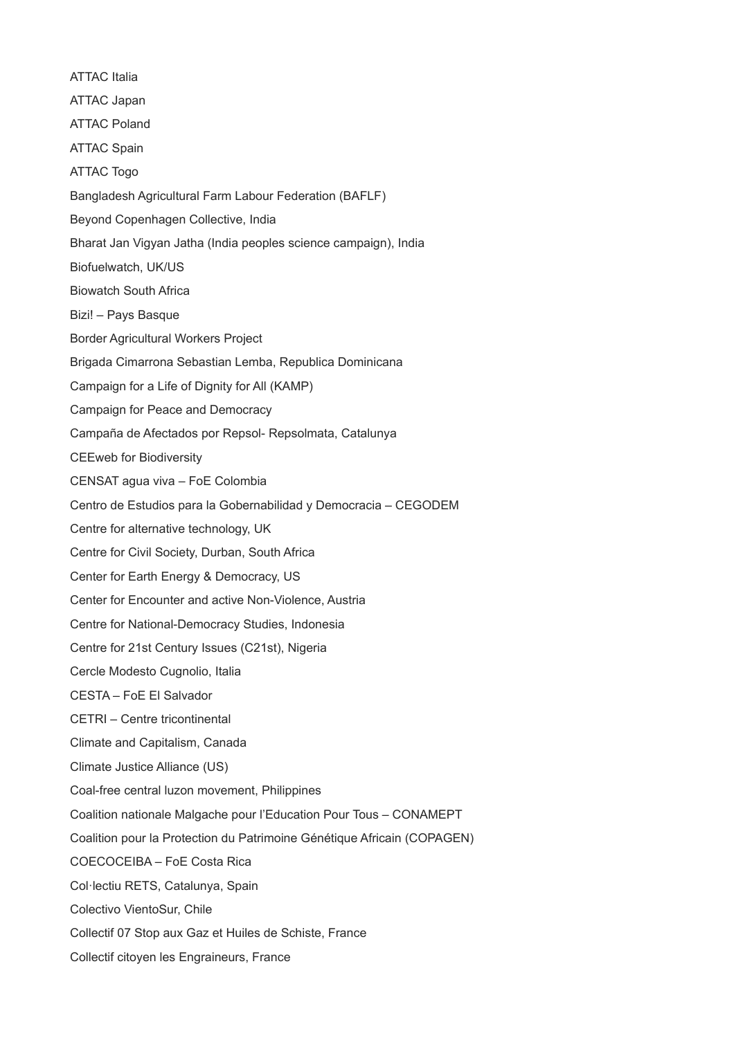ATTAC Italia ATTAC Japan ATTAC Poland ATTAC Spain ATTAC Togo Bangladesh Agricultural Farm Labour Federation (BAFLF) Beyond Copenhagen Collective, India Bharat Jan Vigyan Jatha (India peoples science campaign), India Biofuelwatch, UK/US Biowatch South Africa Bizi! – Pays Basque Border Agricultural Workers Project Brigada Cimarrona Sebastian Lemba, Republica Dominicana Campaign for a Life of Dignity for All (KAMP) Campaign for Peace and Democracy Campaña de Afectados por Repsol- Repsolmata, Catalunya CEEweb for Biodiversity CENSAT agua viva – FoE Colombia Centro de Estudios para la Gobernabilidad y Democracia – CEGODEM Centre for alternative technology, UK Centre for Civil Society, Durban, South Africa Center for Earth Energy & Democracy, US Center for Encounter and active Non-Violence, Austria Centre for National-Democracy Studies, Indonesia Centre for 21st Century Issues (C21st), Nigeria Cercle Modesto Cugnolio, Italia CESTA – FoE El Salvador CETRI – Centre tricontinental Climate and Capitalism, Canada Climate Justice Alliance (US) Coal-free central luzon movement, Philippines Coalition nationale Malgache pour l'Education Pour Tous – CONAMEPT Coalition pour la Protection du Patrimoine Génétique Africain (COPAGEN) COECOCEIBA – FoE Costa Rica Col·lectiu RETS, Catalunya, Spain Colectivo VientoSur, Chile Collectif 07 Stop aux Gaz et Huiles de Schiste, France Collectif citoyen les Engraineurs, France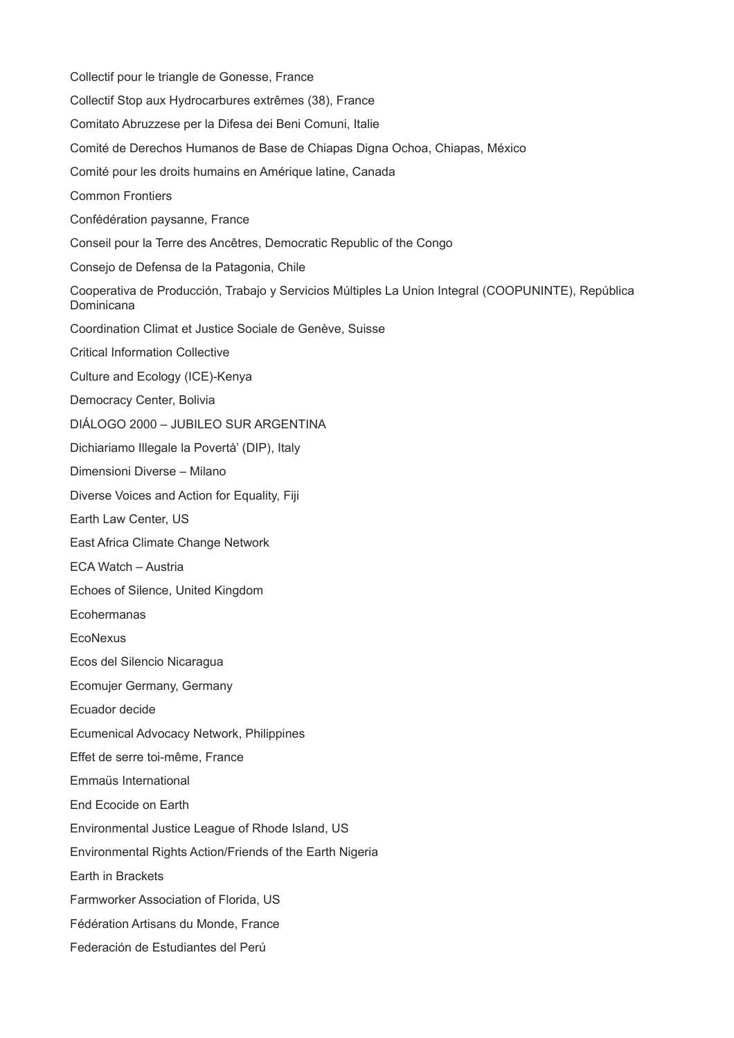Collectif pour le triangle de Gonesse, France Collectif Stop aux Hydrocarbures extrêmes (38), France Comitato Abruzzese per la Difesa dei Beni Comuni, Italie Comité de Derechos Humanos de Base de Chiapas Digna Ochoa, Chiapas, México Comité pour les droits humains en Amérique latine, Canada Common Frontiers Confédération paysanne, France Conseil pour la Terre des Ancêtres, Democratic Republic of the Congo Consejo de Defensa de la Patagonia, Chile Cooperativa de Producción, Trabajo y Servicios Múltiples La Union Integral (COOPUNINTE), República Dominicana Coordination Climat et Justice Sociale de Genève, Suisse Critical Information Collective Culture and Ecology (ICE)-Kenya Democracy Center, Bolivia DIÁLOGO 2000 – JUBILEO SUR ARGENTINA Dichiariamo Illegale la Povertà' (DIP), Italy Dimensioni Diverse – Milano Diverse Voices and Action for Equality, Fiji Earth Law Center, US East Africa Climate Change Network ECA Watch – Austria Echoes of Silence, United Kingdom Ecohermanas EcoNexus Ecos del Silencio Nicaragua Ecomujer Germany, Germany Ecuador decide Ecumenical Advocacy Network, Philippines Effet de serre toi-même, France Emmaüs International End Ecocide on Earth Environmental Justice League of Rhode Island, US Environmental Rights Action/Friends of the Earth Nigeria Earth in Brackets Farmworker Association of Florida, US Fédération Artisans du Monde, France Federación de Estudiantes del Perú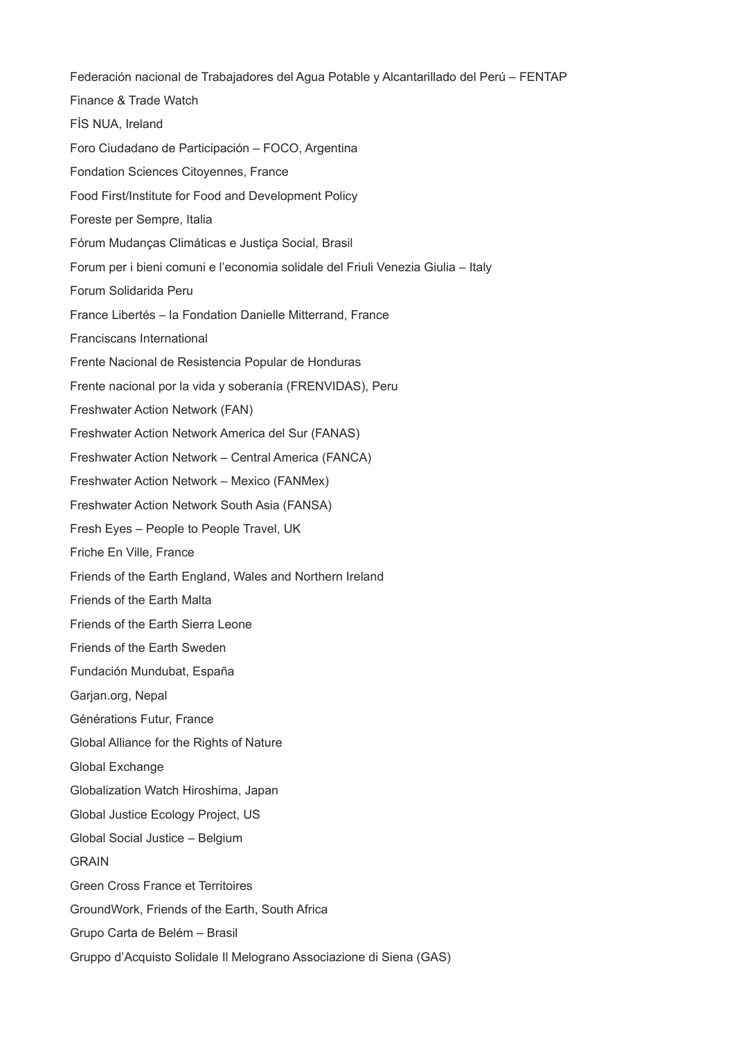Federación nacional de Trabajadores del Agua Potable y Alcantarillado del Perú – FENTAP Finance & Trade Watch FÍS NUA, Ireland Foro Ciudadano de Participación – FOCO, Argentina Fondation Sciences Citoyennes, France Food First/Institute for Food and Development Policy Foreste per Sempre, Italia Fórum Mudanças Climáticas e Justiça Social, Brasil Forum per i bieni comuni e l'economia solidale del Friuli Venezia Giulia – Italy Forum Solidarida Peru France Libertés – la Fondation Danielle Mitterrand, France Franciscans International Frente Nacional de Resistencia Popular de Honduras Frente nacional por la vida y soberanía (FRENVIDAS), Peru Freshwater Action Network (FAN) Freshwater Action Network America del Sur (FANAS) Freshwater Action Network – Central America (FANCA) Freshwater Action Network – Mexico (FANMex) Freshwater Action Network South Asia (FANSA) Fresh Eyes – People to People Travel, UK Friche En Ville, France Friends of the Earth England, Wales and Northern Ireland Friends of the Earth Malta Friends of the Earth Sierra Leone Friends of the Earth Sweden Fundación Mundubat, España Garjan.org, Nepal Générations Futur, France Global Alliance for the Rights of Nature Global Exchange Globalization Watch Hiroshima, Japan Global Justice Ecology Project, US Global Social Justice – Belgium GRAIN Green Cross France et Territoires GroundWork, Friends of the Earth, South Africa Grupo Carta de Belém – Brasil Gruppo d'Acquisto Solidale Il Melograno Associazione di Siena (GAS)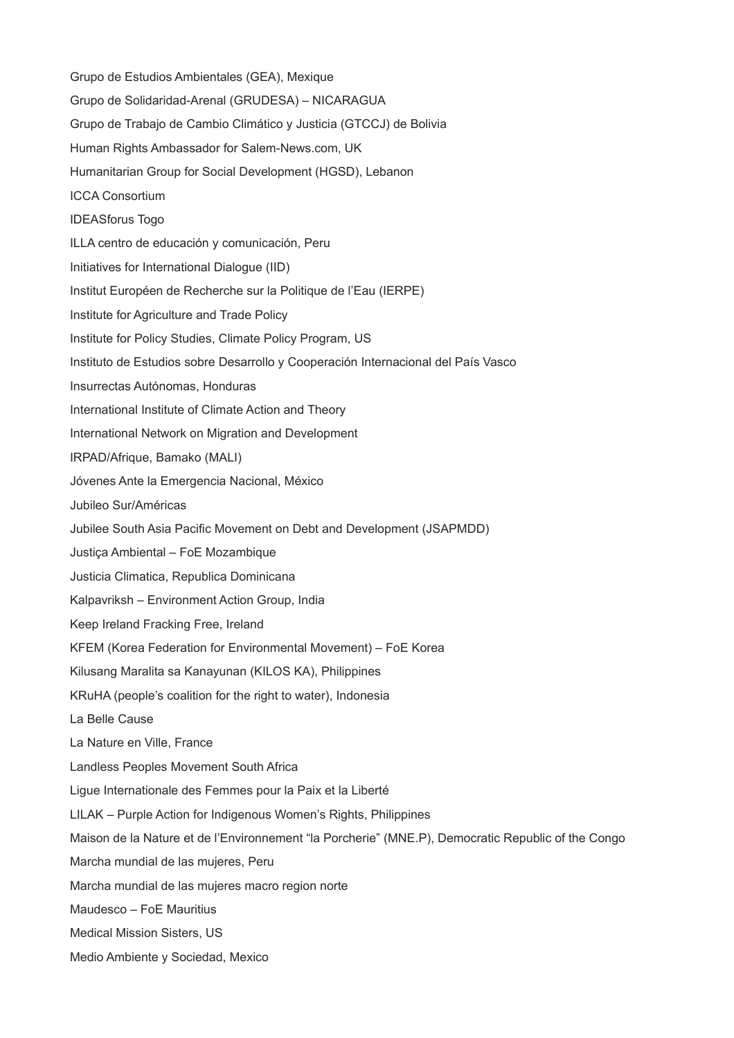Grupo de Estudios Ambientales (GEA), Mexique Grupo de Solidaridad-Arenal (GRUDESA) – NICARAGUA Grupo de Trabajo de Cambio Climático y Justicia (GTCCJ) de Bolivia Human Rights Ambassador for Salem-News.com, UK Humanitarian Group for Social Development (HGSD), Lebanon ICCA Consortium IDEASforus Togo ILLA centro de educación y comunicación, Peru Initiatives for International Dialogue (IID) Institut Européen de Recherche sur la Politique de l'Eau (IERPE) Institute for Agriculture and Trade Policy Institute for Policy Studies, Climate Policy Program, US Instituto de Estudios sobre Desarrollo y Cooperación Internacional del País Vasco Insurrectas Autónomas, Honduras International Institute of Climate Action and Theory International Network on Migration and Development IRPAD/Afrique, Bamako (MALI) Jóvenes Ante la Emergencia Nacional, México Jubileo Sur/Américas Jubilee South Asia Pacific Movement on Debt and Development (JSAPMDD) Justiça Ambiental – FoE Mozambique Justicia Climatica, Republica Dominicana Kalpavriksh – Environment Action Group, India Keep Ireland Fracking Free, Ireland KFEM (Korea Federation for Environmental Movement) – FoE Korea Kilusang Maralita sa Kanayunan (KILOS KA), Philippines KRuHA (people's coalition for the right to water), Indonesia La Belle Cause La Nature en Ville, France Landless Peoples Movement South Africa Ligue Internationale des Femmes pour la Paix et la Liberté LILAK – Purple Action for Indigenous Women's Rights, Philippines Maison de la Nature et de l'Environnement "la Porcherie" (MNE.P), Democratic Republic of the Congo Marcha mundial de las mujeres, Peru Marcha mundial de las mujeres macro region norte Maudesco – FoE Mauritius Medical Mission Sisters, US Medio Ambiente y Sociedad, Mexico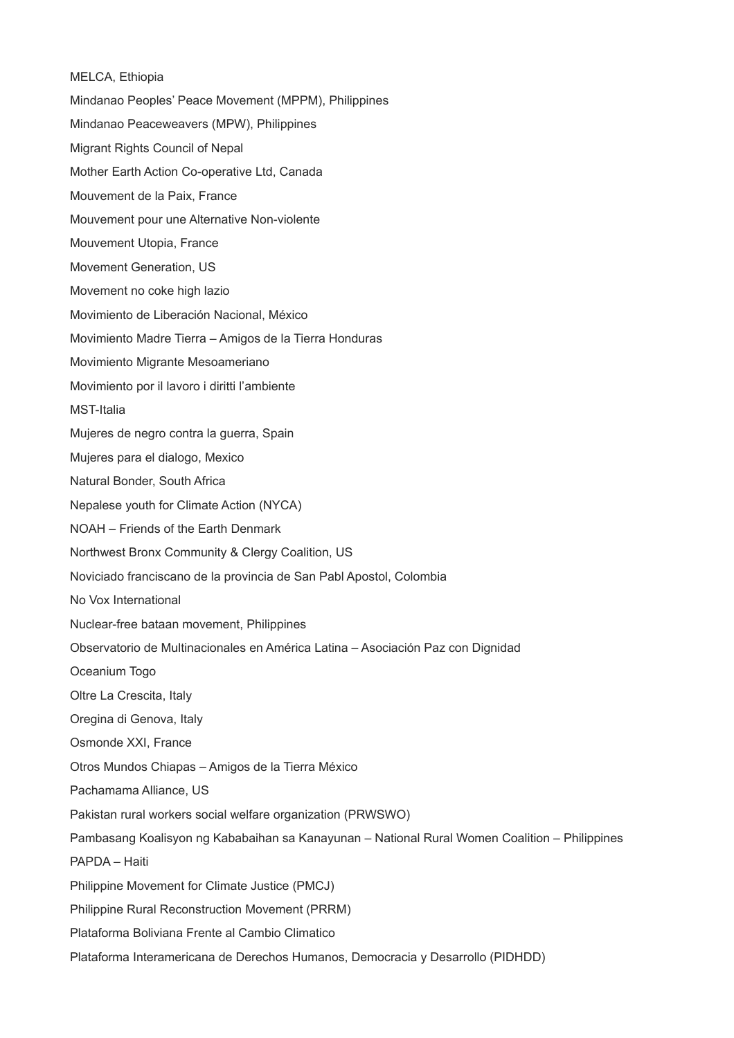MELCA, Ethiopia Mindanao Peoples' Peace Movement (MPPM), Philippines Mindanao Peaceweavers (MPW), Philippines Migrant Rights Council of Nepal Mother Earth Action Co-operative Ltd, Canada Mouvement de la Paix, France Mouvement pour une Alternative Non-violente Mouvement Utopia, France Movement Generation, US Movement no coke high lazio Movimiento de Liberación Nacional, México Movimiento Madre Tierra – Amigos de la Tierra Honduras Movimiento Migrante Mesoameriano Movimiento por il lavoro i diritti l'ambiente MST-Italia Mujeres de negro contra la guerra, Spain Mujeres para el dialogo, Mexico Natural Bonder, South Africa Nepalese youth for Climate Action (NYCA) NOAH – Friends of the Earth Denmark Northwest Bronx Community & Clergy Coalition, US Noviciado franciscano de la provincia de San Pabl Apostol, Colombia No Vox International Nuclear-free bataan movement, Philippines Observatorio de Multinacionales en América Latina – Asociación Paz con Dignidad Oceanium Togo Oltre La Crescita, Italy Oregina di Genova, Italy Osmonde XXI, France Otros Mundos Chiapas – Amigos de la Tierra México Pachamama Alliance, US Pakistan rural workers social welfare organization (PRWSWO) Pambasang Koalisyon ng Kababaihan sa Kanayunan – National Rural Women Coalition – Philippines PAPDA – Haiti Philippine Movement for Climate Justice (PMCJ) Philippine Rural Reconstruction Movement (PRRM) Plataforma Boliviana Frente al Cambio Climatico Plataforma Interamericana de Derechos Humanos, Democracia y Desarrollo (PIDHDD)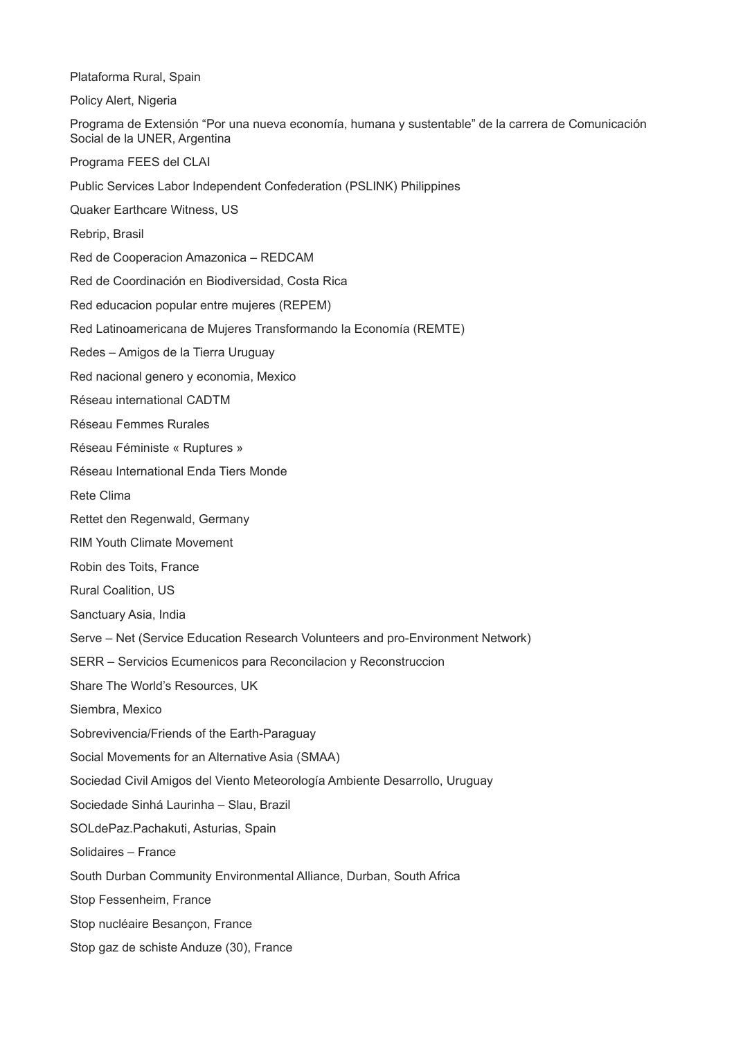Plataforma Rural, Spain

Policy Alert, Nigeria

Programa de Extensión "Por una nueva economía, humana y sustentable" de la carrera de Comunicación Social de la UNER, Argentina

Programa FEES del CLAI

Public Services Labor Independent Confederation (PSLINK) Philippines

Quaker Earthcare Witness, US

Rebrip, Brasil

Red de Cooperacion Amazonica – REDCAM

Red de Coordinación en Biodiversidad, Costa Rica

Red educacion popular entre mujeres (REPEM)

Red Latinoamericana de Mujeres Transformando la Economía (REMTE)

Redes – Amigos de la Tierra Uruguay

Red nacional genero y economia, Mexico

Réseau international CADTM

Réseau Femmes Rurales

Réseau Féministe « Ruptures »

Réseau International Enda Tiers Monde

Rete Clima

Rettet den Regenwald, Germany

RIM Youth Climate Movement

Robin des Toits, France

Rural Coalition, US

Sanctuary Asia, India

Serve – Net (Service Education Research Volunteers and pro-Environment Network)

SERR – Servicios Ecumenicos para Reconcilacion y Reconstruccion

Share The World's Resources, UK

Siembra, Mexico

Sobrevivencia/Friends of the Earth-Paraguay

Social Movements for an Alternative Asia (SMAA)

Sociedad Civil Amigos del Viento Meteorología Ambiente Desarrollo, Uruguay

Sociedade Sinhá Laurinha – Slau, Brazil

SOLdePaz.Pachakuti, Asturias, Spain

Solidaires – France

South Durban Community Environmental Alliance, Durban, South Africa

Stop Fessenheim, France

Stop nucléaire Besançon, France

Stop gaz de schiste Anduze (30), France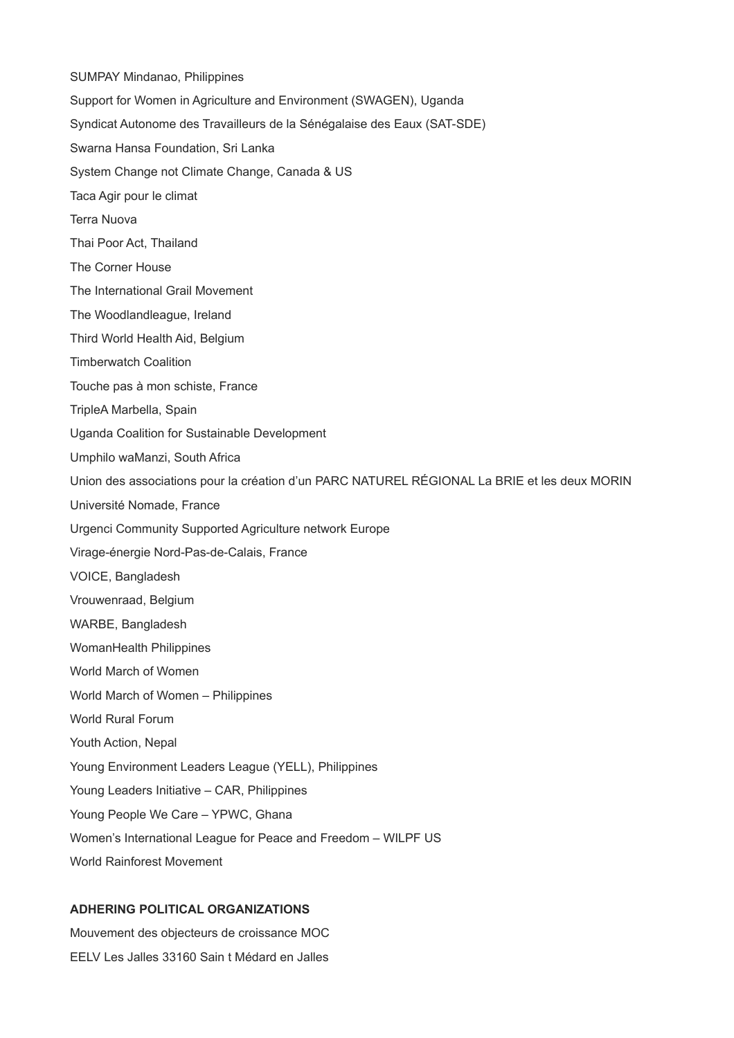SUMPAY Mindanao, Philippines Support for Women in Agriculture and Environment (SWAGEN), Uganda Syndicat Autonome des Travailleurs de la Sénégalaise des Eaux (SAT-SDE) Swarna Hansa Foundation, Sri Lanka System Change not Climate Change, Canada & US Taca Agir pour le climat Terra Nuova Thai Poor Act, Thailand The Corner House The International Grail Movement The Woodlandleague, Ireland Third World Health Aid, Belgium Timberwatch Coalition Touche pas à mon schiste, France TripleA Marbella, Spain Uganda Coalition for Sustainable Development Umphilo waManzi, South Africa Union des associations pour la création d'un PARC NATUREL RÉGIONAL La BRIE et les deux MORIN Université Nomade, France Urgenci Community Supported Agriculture network Europe Virage-énergie Nord-Pas-de-Calais, France VOICE, Bangladesh Vrouwenraad, Belgium WARBE, Bangladesh WomanHealth Philippines World March of Women World March of Women – Philippines World Rural Forum Youth Action, Nepal Young Environment Leaders League (YELL), Philippines Young Leaders Initiative – CAR, Philippines Young People We Care – YPWC, Ghana Women's International League for Peace and Freedom – WILPF US World Rainforest Movement

## **ADHERING POLITICAL ORGANIZATIONS**

Mouvement des objecteurs de croissance MOC EELV Les Jalles 33160 Sain t Médard en Jalles